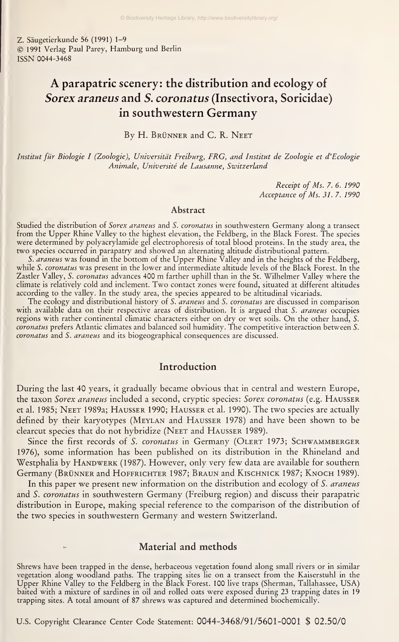Z. Säugetierkunde 56 (1991) 1-9 ©1991 Verlag Paul Parey, Hamburg und Berlin ISSN 0044-3468

## A parapatric scenery: the distribution and ecology of Sorex araneus and 5. coronatus (Insectivora, Soricidae) in southwestern Germany

By H. Brünner and C. R. Neet

Institut für Biologie <sup>I</sup> (Zoologie), Universität Freiburg, FRG, and Institut de Zoologie et d'Ecologie Animale, Universite de Lausanne, Switzerland

> Receipt of Ms. 7. 6. 1990 Acceptance of Ms. 31. 7. 1990

#### Abstract

Studied the distribution of Sorex araneus and S. coronatus in southwestern Germany along a transect from the Upper Rhine Valley to the highest elevation, the Feldberg, in the Black Forest. The species were determined by polyacrylamide gel electrophoresis of total blood proteins. In the study area, the two species occurred in parapatry and showed an alternating altitude distributional pattern.

S. *araneus* was found in the bottom of the Upper Rhine Valley and in the heights of the Feldberg, while S. *coronatus* was present in the lower and intermediate altitude levels of the Black Forest. In the Zastler Valley, S. coronatus advances <sup>400</sup> m farther uphill than in the St. Wilhelmer Valley where the climate is relatively cold and inclement. Two contact zones were found, situated at different altitudes

according to the valley. In the study area, the species appeared to be altitudinal vicariads.<br>The ecology and distributional history of S. *araneus* and S. *coronatus* are discussed in comparison with available data on their respective areas of distribution. It is argued that S. *araneus* occupies regions with rather continental climatic characters either on dry or wet soils. On the other hand, S. coronatus prefers Atlantic climates and balanced soil humidity. The competitive interaction between S. coronatus and S. araneus and its biogeographical consequences are discussed.

## Introduction

During the last 40 years, it gradually became obvious that in central and western Europe, the taxon Sorex araneus included <sup>a</sup> second, cryptic species: Sorex coronatus (e.g. Hausser et al. 1985; Neet 1989a; Hausser 1990; Hausser et al. 1990). The two species are actually defined by their karyotypes (Meylan and Hausser 1978) and have been shown to be clearcut species that do not hybridize (NEET and HAUSSER 1989).

Since the first records of S. coronatus in Germany (OLERT 1973; SCHWAMMBERGER 1976), some information has been published on its distribution in the Rhineland and Westphalia by HANDWERK (1987). However, only very few data are available for southern Germany (BRÜNNER and HOFFRICHTER 1987; BRAUN and KISCHNICK 1987; KNOCH 1989).

In this paper we present new information on the distribution and ecology of S. araneus and S. coronatus in southwestern Germany (Freiburg region) and discuss their parapatric distribution in Europe, making special reference to the comparison of the distribution of the two species in southwestern Germany and western Switzerland.

## Material and methods

Shrews have been trapped in the dense, herbaceous vegetation found along small rivers or in similar vegetation along woodland paths. The trapping sites lie on a transect from the Kaiserstuhl in the<br>Upper Rhine Valley to the Feldberg in the Black Forest. 100 live traps (Sherman, Tallahassee, USA) baited with a mixture of sardines in oil and rolled oats were exposed during 23 trapping dates in 19 trapping sites. A total amount of <sup>87</sup> shrews was captured and determined biochemically.

U.S. Copyright Clearance Center Code Statement: 0044-3468/91/5601-0001 \$ 02.50/0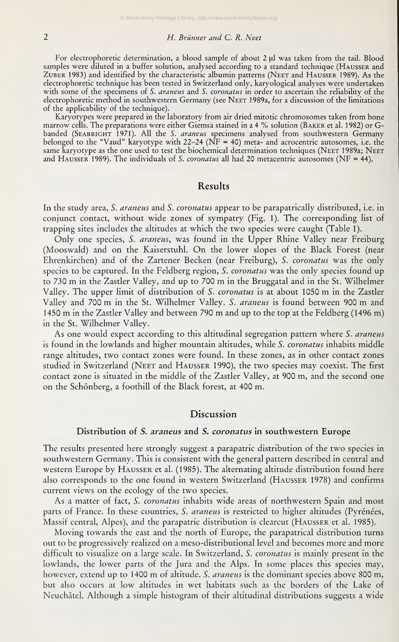## 2 H. Brünner and C. R. Neet

For electrophoretic determination, a blood sample of about  $2 \mu$ l was taken from the tail. Blood samples were diluted in a buffer solution, analysed according to a standard technique (HAUSSER and Zuber 1983) and identified by the characteristic albumin patterns (Neet and Hausser 1989). As the electrophoretic technique has been tested in Switzerland only, karyological analyses were undertaken with some of the specimens of S. araneus and S. coronatus in order to ascertain the reliability of the electrophoretic method in southwestern Germany (see Neet 1989a, for <sup>a</sup> discussion of the limitations of the applicability of the technique).

Karyotypes were prepared in the laboratory from air dried mitotic chromosomes taken from bone marrow cells. The preparations were either Giemsa stained in a 4 % solution (BAKER et al. 1982) or Gbanded (SEABRIGHT 1971). All the S. *araneus* specimens analysed from southwestern Germany<br>belonged to the "Vaud" karyotype with 22–24 (NF = 40) meta- and acrocentric autosomes, i.e. the same karyotype as the one used to test the biochemical determination techniques (NEET 1989a; NEET and HAUSSER 1989). The individuals of S. coronatus all had 20 metacentric autosomes (NF = 44).

#### Results

In the study area, S. *araneus* and S. *coronatus* appear to be parapatrically distributed, i.e. in conjunct contact, without wide zones of sympatry (Fig. 1). The corresponding list of trapping sites includes the altitudes at which the two species were caught (Table 1).

Only one species, S. araneus, was found in the Upper Rhine Valley near Freiburg (Mooswald) and on the Kaiserstuhl. On the lower slopes of the Black Forest (near Ehrenkirchen) and of the Zartener Becken (near Freiburg), S. coronatus was the only species to be captured. In the Feldberg region, S. coronatus was the only species found up to <sup>730</sup> m in the Zastler Valley, and up to <sup>700</sup> m in the Bruggatal and in the St. Wilhelmer Valley. The upper limit of distribution of S. coronatus is at about <sup>1050</sup> m in the Zastler Valley and 700 m in the St. Wilhelmer Valley. S. araneus is found between 900 m and <sup>1450</sup> m in the Zastler Valley and between <sup>790</sup> m and up to the top at the Feldberg (1496 m) in the St. Wilhelmer Valley.

As one would expect according to this altitudinal segregation pattern where S. araneus is found in the lowlands and higher mountain altitudes, while S. coronatus inhabits middle range altitudes, two contact zones were found. In these zones, as in other contact zones studied in Switzerland (Neet and Hausser 1990), the two species may coexist. The first contact zone is situated in the middle of the Zastler Valley, at 900 m, and the second one on the Schönberg, <sup>a</sup> foothill of the Black forest, at 400 m.

## Discussion

## Distribution of S. araneus and S. coronatus in southwestern Europe

The results presented here strongly suggest <sup>a</sup> parapatric distribution of the two species in southwestern Germany. This is consistent with the general pattern described in central and western Europe by Hausser et al. (1985). The alternating altitude distribution found here also corresponds to the one found in western Switzerland (Hausser 1978) and confirms current views on the ecology of the two species.

As a matter of fact, S. coronatus inhabits wide areas of northwestern Spain and most parts of France. In these countries, S. araneus is restricted to higher altitudes (Pyrénées, Massif central, Alpes), and the parapatric distribution is clearcut (Hausser et al. 1985).

Moving towards the east and the north of Europe, the parapatrical distribution turns out to be progressively realized on <sup>a</sup> meso-distributional level and becomes more and more difficult to visualize on a large scale. In Switzerland, S. *coronatus* is mainly present in the lowlands, the lower parts of the Jura and the Alps. In some places this species may, however, extend up to 1400 m of altitude. S. *araneus* is the dominant species above 800 m, but also occurs at low altitudes in wet habitats such as the borders of the Lake of Neuchätel. Although asimple histogram of their altitudinal distributions suggests a wide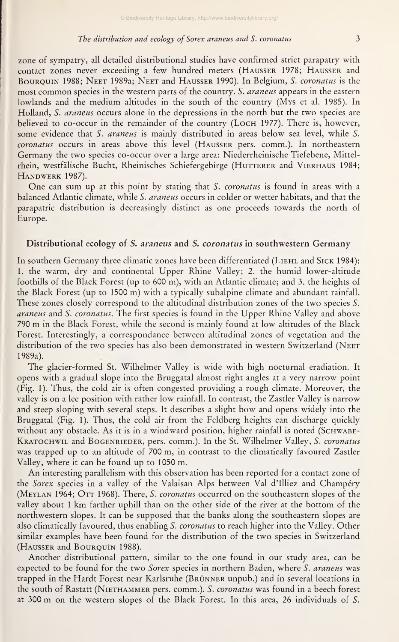#### The distribution and ecology of Sorex araneus and S. coronatus 3

zone of sympatry, all detailed distributional studies have confirmed strict parapatry with contact zones never exceeding <sup>a</sup> few hundred meters (Hausser 1978; Hausser and BOUROUIN 1988; NEET 1989a; NEET and HAUSSER 1990). In Belgium, S. coronatus is the most common species in the western parts of the country. S. araneus appears in the eastern lowlands and the medium altitudes in the south of the country (Mys et al. 1985). In Holland, S. araneus occurs alone in the depressions in the north but the two species are believed to co-occur in the remainder of the country (LOCH 1977). There is, however, some evidence that S. araneus is mainly distributed in areas below sea level, while S. coronatus occurs in areas above this level (HAUSSER pers. comm.). In northeastern Germany the two species co-occur over <sup>a</sup> large area: Niederrheinische Tiefebene, Mittelrhein, westfälische Bucht, Rheinisches Schiefergebirge (HUTTERER and VIERHAUS 1984; Handwerk 1987).

One can sum up at this point by stating that S. coronatus is found in areas with <sup>a</sup> balanced Atlantic climate, while S. araneus occurs in colder or wetter habitats, and that the parapatric distribution is decreasingly distinct as one proceeds towards the north of Europe.

#### Distributional ecology of S. araneus and S. coronatus in southwestern Germany

In southern Germany three climatic zones have been differentiated (LIEHL and SICK 1984): 1. the warm, dry and continental Upper Rhine Valley; 2. the humid lower-altitude foothills of the Black Forest (up to 600 m), with an Atlantic climate; and 3. the heights of the Black Forest (up to 1500 m) with <sup>a</sup> typically subalpine climate and abundant rainfall. These zones closely correspond to the altitudinal distribution zones of the two species S. araneus and S. coronatus. The first species is found in the Upper Rhine Valley and above <sup>790</sup> m in the Black Forest, while the second is mainly found at low altitudes of the Black Forest. Interestingly, a correspondance between altitudinal zones of Vegetation and the distribution of the two species has also been demonstrated in western Switzerland (NEET 1989a).

The glacier-formed St. Wilhelmer Valley is wide with high nocturnal eradiation. It opens with a gradual slope into the Bruggatal almost right angles at a very narrow point (Fig. 1). Thus, the cold air is often congested providing <sup>a</sup> rough climate. Moreover, the valley is on a lee position with rather low rainfall. In contrast, the Zastler Valley is narrow and steep sloping with several steps. It describes a slight bow and opens widely into the Bruggatal (Fig. 1). Thus, the cold air from the Feldberg heights can discharge quickly without any obstacle. As it is in a windward position, higher rainfall is noted (SCHWABE-KRATOCHWIL and BOGENRIEDER, pers. comm.). In the St. Wilhelmer Valley, S. coronatus was trapped up to an altitude of 700 m, in contrast to the climatically favoured Zastler Valley, where it can be found up to 1050 m.

An interesting parallelism with this Observation has been reported for <sup>a</sup> contact zone of the Sorex species in a valley of the Valaisan Alps between Val d'Illiez and Champéry (MEYLAN 1964; OTT 1968). There, S. coronatus occurred on the southeastern slopes of the valley about <sup>1</sup> km farther uphill than on the other side of the river at the bottom of the northwestern slopes. It can be supposed that the banks along the southeastern slopes are also climatically favoured, thus enabling *S. coronatus* to reach higher into the Valley. Other similar examples have been found for the distribution of the two species in Switzerland (HAUSSER and BOURQUIN 1988).

Another distributional pattern, similar to the one found in our study area, can be expected to be found for the two Sorex species in northern Baden, where S. araneus was trapped in the Hardt Forest near Karlsruhe (Brünner unpub.) and in several locations in the south of Rastatt (NIETHAMMER pers. comm.). S. coronatus was found in a beech forest at <sup>300</sup> m on the western slopes of the Black Forest. In this area, <sup>26</sup> individuals of S.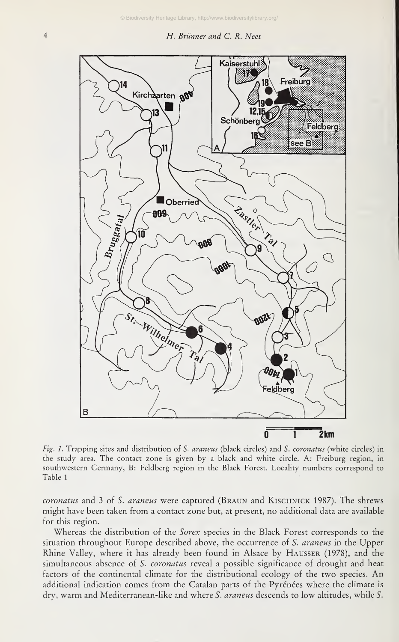

Fig. 1. Trapping sites and distribution of S. araneus (black circles) and S. coronatus (white circles) in the study area. The contact zone is given by a black and white circle. A: Freiburg region, in southwestern Germany, B: Feldberg region in the Black Forest. Locality numbers correspond to Table <sup>1</sup>

coronatus and 3 of S. araneus were captured (BRAUN and KISCHNICK 1987). The shrews might have been taken from acontact zone but, at present, no additional data are available for this region.

Whereas the distribution of the *Sorex* species in the Black Forest corresponds to the situation throughout Europe described above, the occurrence of S. araneus in the Upper Rhine Valley, where it has already been found in Alsace by Hausser (1978), and the simultaneous absence of S. coronatus reveal a possible significance of drought and heat factors of the Continental climate for the distributional ecology of the two species. An additional indication comes from the Catalan parts of the Pyrénées where the climate is dry, warm and Mediterranean-like and where S. araneus descends to low altitudes, while S.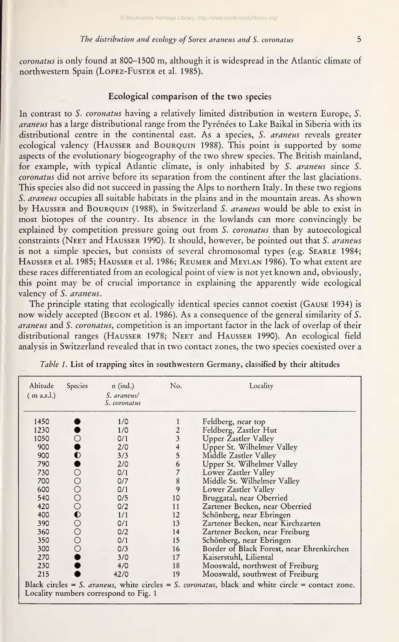#### The distribution and ecology of Sorex araneus and S. coronatus 5

coronatus isonly found at 800-1500 m, although it is widespread in the Atlantic climate of northwestern Spain (LOPEZ-Fuster et al. 1985).

## Ecological comparison of the two species

In contrast to S. coronatus having a relatively limited distribution in western Europe, S. araneus has a large distributional range from the Pyrénées to Lake Baikal in Siberia with its distributional centre in the continental east. As a species, S. araneus reveals greater ecological valency (Hausser and Bourquin 1988). This point is supported by some aspects of the evolutionary biogeography of the two shrew species. The British mainland, for example, with typical Atlantic climate, is only inhabited by S. araneus since S. coronatus did not arrive before its separation from the continent after the last glaciations. This species also did not succeed in passing the Alps to northern Italy. In these two regions S. araneus occupies all suitable habitats in the plains and in the mountain areas. As shown by HAUSSER and BOURQUIN (1988), in Switzerland S. *araneus* would be able to exist in most biotopes of the country. Its absence in the lowlands can more convincingly be explained by competition pressure going out from S. coronatus than by autoecological constraints (NEET and HAUSSER 1990). It should, however, be pointed out that S. araneus is not a simple species, but consists of several chromosomal types (e.g. SEARLE 1984; Hausser et al. 1985; Hausser et al. 1986; Reumer and Meylan 1986). To what extent are these races differentiated from an ecological point of view is not yet known and, obviously, this point may be of crucial importance in explaining the apparently wide ecological valency of S. araneus.

The principle stating that ecologically identical species cannot coexist (Gause 1934) is now widely accepted (BEGON et al. 1986). As a consequence of the general similarity of S. araneus and S. coronatus, competition is an important factor in the lack of overlap of their distributional ranges (HAUSSER 1978; NEET and HAUSSER 1990). An ecological field analysis in Switzerland revealed that in two contact zones, the two species coexisted over a

| Altitude<br>(m a.s.l.) | Species     | $n$ (ind.)<br>S. araneus/<br>S. coronatus | No. | Locality                                                                                         |
|------------------------|-------------|-------------------------------------------|-----|--------------------------------------------------------------------------------------------------|
| 1450                   |             | 1/0                                       |     | Feldberg, near top                                                                               |
| 1230                   |             | 1/0                                       |     | Feldberg, Zastler Hut                                                                            |
| 1050                   |             | O/1                                       | 3   | Upper Zastler Valley                                                                             |
| 900                    |             | 2/0                                       | 4   | Upper St. Wilhelmer Valley                                                                       |
| 900                    | $\mathbf 0$ | 3/3                                       | 5   | Middle Zastler Valley                                                                            |
| 790                    |             | 2/0                                       | 6   | Upper St. Wilhelmer Valley                                                                       |
| 730                    | О           | 0/1                                       |     | Lower Zastler Valley                                                                             |
| 700                    |             | 0/7                                       | 8   | Middle St. Wilhelmer Valley                                                                      |
| 600                    | 000000000   | 0/1                                       | 9   | Lower Zastler Valley                                                                             |
| 540                    |             | 0/5                                       | 10  | Bruggatal, near Oberried                                                                         |
| 420                    |             | 0/2                                       | 11  | Zartener Becken, near Oberried                                                                   |
| 400                    |             | 1/1                                       | 12  | Schönberg, near Ebringen                                                                         |
| 390                    |             | 0/1                                       | 13  | Zartener Becken, near Kirchzarten                                                                |
| 360                    |             | 0/2                                       | 14  | Zartener Becken, near Freiburg                                                                   |
| 350                    |             | 0/1                                       | 15  | Schönberg, near Ebringen                                                                         |
| 300                    |             | O/3                                       | 16  | Border of Black Forest, near Ehrenkirchen                                                        |
| 270                    |             | 3/0                                       | 17  | Kaiserstuhl, Liliental                                                                           |
| 230                    |             | 4/0                                       | 18  | Mooswald, northwest of Freiburg                                                                  |
| 215                    |             | 42/0                                      | 19  | Mooswald, southwest of Freiburg                                                                  |
|                        |             | Locality numbers correspond to Fig. 1     |     | Black circles = S. araneus, white circles = S. coronatus, black and white circle = contact zone. |

Table 1. List of trapping sites in southwestern Germany, classified by their altitudes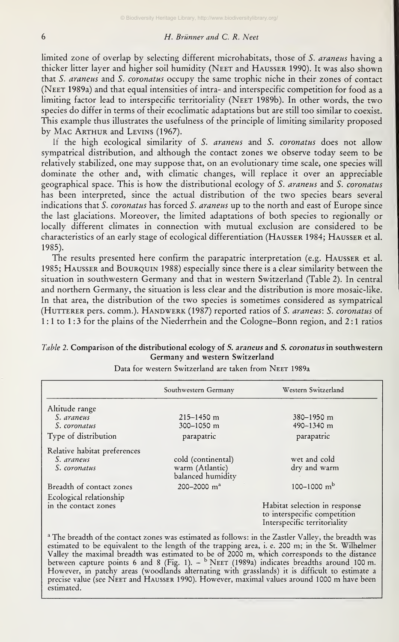## 6 H. Brünner and C. R. Neet

limited zone of overlap by selecting different microhabitats, those of S. araneus having a thicker litter layer and higher soil humidity (Neet and Hausser 1990). It was also shown that S. araneus and S. coronatus occupy the same trophic niche in their zones of contact (Neet 1989a) and that equal intensities of intra- and interspecific competition for food as <sup>a</sup> limiting factor lead to interspecific territoriality (Neet 1989b). In other words, the two species do differ in terms of their ecoclimatic adaptations but are still too similar to coexist. This example thus illustrates the usefulness of the principle of limiting similarity proposed by Mac ARTHUR and LEVINS (1967).

If the high ecological similarity of S. araneus and S. coronatus does not allow sympatrical distribution, and although the contact zones we observe today seem to be relatively stabilized, one may suppose that, on an evolutionary time scale, one species will dominate the other and, with climatic changes, will replace it over an appreciable geographical space. This is how the distributional ecology of S. araneus and S. coronatus has been interpreted, since the actual distribution of the two species bears several indications that S. coronatus has forced S. araneus up to the north and east of Europe since the last glaciations. Moreover, the limited adaptations of both species to regionally or locally different climates in connection with mutual exclusion are considered to be characteristics of an early stage of ecological differentiation (Hausser 1984; Hausser et al. 1985).

The results presented here confirm the parapatric interpretation (e.g. Hausser et al. 1985; Hausser and Bouroum 1988) especially since there is a clear similarity between the Situation in southwestern Germany and that in western Switzerland (Table 2). In central and northern Germany, the situation is less clear and the distribution is more mosaic-like. In that area, the distribution of the two species is sometimes considered as sympatrical (HUTTERER pers. comm.). HANDWERK (1987) reported ratios of S. araneus: S. coronatus of <sup>1</sup> : <sup>1</sup> to <sup>1</sup> : 3 for the plains of the Niederrhein and the Cologne-Bonn region, and 2 : <sup>1</sup> ratios

|                              | Southwestern Germany                 | Western Switzerland                                                                           |
|------------------------------|--------------------------------------|-----------------------------------------------------------------------------------------------|
| Altitude range               |                                      |                                                                                               |
| S. araneus                   | $215 - 1450$ m                       | 380-1950 m                                                                                    |
| S. coronatus                 | 300-1050 m                           | 490-1340 m                                                                                    |
| Type of distribution         | parapatric                           | parapatric                                                                                    |
| Relative habitat preferences |                                      |                                                                                               |
| S. araneus                   | cold (continental)                   | wet and cold                                                                                  |
| S. coronatus                 | warm (Atlantic)<br>balanced humidity | dry and warm                                                                                  |
| Breadth of contact zones     | 200-2000 $m^a$                       | $100 - 1000$ m <sup>b</sup>                                                                   |
| Ecological relationship      |                                      |                                                                                               |
| in the contact zones         |                                      | Habitat selection in response<br>to interspecific competition<br>Interspecific territoriality |

Germany and western Switzerland Data for western Switzerland are taken from NEET 1989a

Table 2. Comparison of the distributional ecology of S. araneus and S. coronatus in southwestern

estimated to be equivalent to the length of the trapping area, i. e. 200 m; in the St. Wilhelmer Valley the maximal breadth was estimated to be of 2000 m, which corresponds to the distance the between capture points 6 and 8 (Fig. 1). -  $^{\rm b}$  Neet (1989a) indicates breadths around 100 m. The between capture points 6 However, in patchy areas (woodlands alternating with grasslands) it is difficult to estimate a precise value (see Neet and Hausser 1990). However, maximal values around <sup>1000</sup> m have been estimated.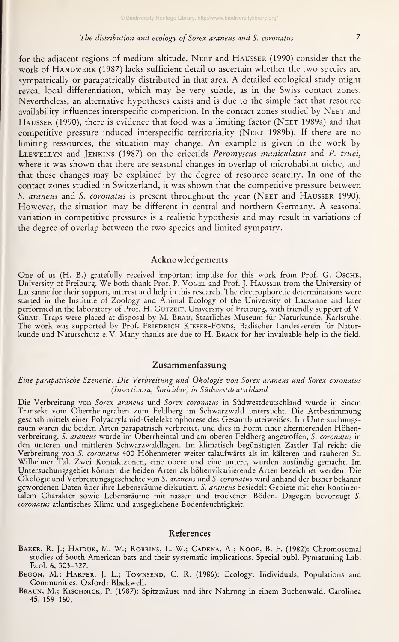#### The distribution and ecology of Sorex araneus and S. coronatus 7

for the adjacent regions of medium altitude. Neet and Hausser (1990) consider that the work of HANDWERK (1987) lacks sufficient detail to ascertain whether the two species are sympatrically or parapatrically distributed in that area. A detailed ecological study might reveal local differentiation, which may be very subtle, as in the Swiss contact zones. Nevertheless, an alternative hypotheses exists and is due to the simple fact that resource availability influences interspecific competition. In the contact zones studied by Neet and Hausser (1990), there is evidence that food was <sup>a</sup>limiting factor (Neet 1989a) and that competitive pressure induced interspecific territoriality (Neet 1989b). If there are no limiting ressources, the situation may change. An example is given in the work by LLEWELLYN and JENKINS (1987) on the cricetids Peromyscus maniculatus and P. truei, where it was shown that there are seasonal changes in overlap of microhabitat niche, and that these changes may be explained by the degree of resource scarcity. In one of the contact zones studied in Switzerland, it was shown that the competitive pressure between S. araneus and S. coronatus is present throughout the year (NEET and HAUSSER 1990). However, the situation may be different in central and northern Germany. A seasonal Variation in competitive pressures is <sup>a</sup> realistic hypothesis and may result in variations of the degree of overlap between the two species and limited sympatry.

#### Acknowledgements

One of us (H. B.) gratefully received important impulse for this work from Prof. G. Osche, University of Freiburg. We both thank Prof. P. VOGEL and Prof. J. HAUSSER from the University of Lausanne for their support, interest and help in this research. The electrophoretic determinations were started in the Institute of Zoology and Animal Ecology of the University of Lausanne and later performed in the laboratory of Prof. H. Gutzeit, University of Freiburg, with friendly support of V.<br>Grau. Traps were placed at disposal by M. Brau, Staatliches Museum für Naturkunde, Karlsruhe. The work was supported by Prof. Friedrich Kiefer-Fonds, Badischer Landesverein für Natur-<br>kunde und Naturschutz e. V. Many thanks are due to H. Brack for her invaluable help in the field.

## Zusammenfassung

#### Eine parapatrische Szenerie: Die Verbreitung und Ökologie von Sorex araneus und Sorex coronatus (Insectivora, Soricidae) in Südwestdeutschland

Die Verbreitung von S*orex araneus* und S*orex coronatus* in Südwestdeutschland wurde in einem<br>Transekt vom Oberrheingraben zum Feldberg im Schwarzwald untersucht. Die Artbestimmung geschah mittels einer Polyacrylamid-Gelelektrophorese des Gesamtbluteiweißes. Im Untersuchungs raum waren die beiden Arten parapatrisch verbreitet, und dies in Form einer alternierenden Höhenverbreitung. *S. araneus* wurde im Oberrheintal und am oberen Feldberg angetroffen, *S. coronatus* in den unteren und mittleren Schwarzwaldlagen. Im klimatisch begünstigten Zastler Tal reicht die Verbreitung von S. *coronatus* 400 Höhenmeter weiter talaufwärts als im kälteren und rauheren St. Wilhelmer Tal. Zwei Kontaktzonen, eine obere und eine untere, wurden ausfindig gemacht. Im Untersuchungsgebiet können die beiden Arten als höhenvikariierende Arten bezeichnet werden. Die Okologie und Verbreitungsgeschichte von S. *araneus* und S. *coronatus* wird anhand der bisher bekannt gewordenen Daten über ihre Lebensräume diskutiert. S. *araneus* besiedelt Gebiete mit eher kontinentalem Charakter sowie Lebensräume mit nassen und trockenen Böden. Dagegen bevorzugt S. coronatus atlantisches Klima und ausgeglichene Bodenfeuchtigkeit.

#### References

- BAKER, R. J.; HAIDUK, M. W.; ROBBINS, L. W.; CADENA, A.; KOOP, B. F. (1982): Chromosomal studies of South American bats and their systematic implications. Special publ. Pymatuning Lab. Ecol. 6, 303-327.
- Begon, M.; Harper, J. L.; Townsend, C. R. (1986): Ecology. Individuals, Populations and Communities. Oxford: Blackwell.
- Braun, M.; Kischnick, P. (1987): Spitzmäuse und ihre Nahrung in einem Buchenwald. Carolinea 45, 159-160,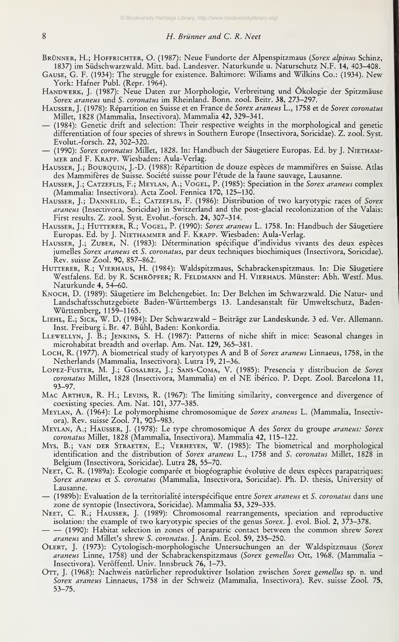- BRÜNNER, H.; HOFFRICHTER, O. (1987): Neue Fundorte der Alpenspitzmaus (Sorex alpinus Schinz, 1837) im Südschwarzwald. Mitt. bad. Landesver. Naturkunde u. Naturschutz N.F. 14, 403-408.
- Gause, G. F. (1934): The struggle for existence. Baltimore: Wiliams and Wilkins Co.: (1934). New York: Hafner Publ. (Repr. 1964).
- Handwerk, J. (1987): Neue Daten zur Morphologie, Verbreitung und Ökologie der Spitzmäuse Sorex araneus und S. coronatus im Rheinland. Bonn. zool. Beitr. 38, 273-297.
- HAUSSER, J. (1978): Répartition en Suisse et en France de Sorex araneus L., 1758 et de Sorex coronatus Millet, <sup>1828</sup> (Mammalia, Insectivora). Mammalia 42, 329-341. — (1984): Genetic drift and selection: Their respective weights in the morphological and genetic
- differentiation of four species of shrews in Southern Europe (Insectivora, Soricidae). Z. zool. Syst.
- (1990): Sorex coronatus Millet, 1828. In: Handbuch der Säugetiere Europas. Ed. by J. NIETHAMmer and F. Krapp. Wiesbaden: Aula-Verlag.
- Hausser, J.; Bourquin, J.-D. (1988): Repartition de douze especes de mammiferes en Suisse. Atlas des Mammiferes de Suisse. Societe suisse pour l'etude de la faune sauvage, Lausanne.
- HAUSSER, J.; CATZEFLIS, F.; MEYLAN, A.; VOGEL, P. (1985): Speciation in the Sorex araneus complex (Mammalia: Insectivora). Acta Zool. Fennica 170, 125-130.
- HAUSSER, J.; DANNELID, E.; CATZEFLIS, F. (1986): Distribution of two karyotypic races of Sorex araneus (Insectivora, Soricidae) in Switzerland and the post-glacial recolonization of the Valais: First results. Z. zool. Syst. Evolut.-forsch. 24, 307-314.
- HAUSSER, J.; HUTTERER, R.; VOGEL, P. (1990): Sorex araneus L. 1758. In: Handbuch der Säugetiere Europas. Ed. by J. Niethammer and F. Krapp. Wiesbaden: Aula-Verlag.
- Hausser, J.; Zuber, N. (1983): Determination specifique d'individus vivants des deux especes jumelles Sorex araneus et S. coronatus, par deux techniques biochimiques (Insectivora, Soricidae). Rev. suisse Zool. 90, 857-862.
- Hutterer, R.; Vierhaus, H. (1984): Waldspitzmaus, Schabrackenspitzmaus. In: Die Säugetiere Westfalens. Ed. by R. Schröpfer; R. Feldmann and H. Vierhaus. Münster: Abh. Westf. Mus. Naturkunde 4, 54-60.
- Knoch, D. (1989): Säugetiere im Beichengebiet. In: Der Belchen im Schwarzwald. Die Natur- und Landschaftsschutzgebiete Baden-Württembergs 13. Landesanstalt für Umweltschutz, Baden- Württemberg, 1159-1165.
- Liehl, E.; Sick, W. D. (1984): Der Schwarzwald Beiträge zur Landeskunde. <sup>3</sup>ed. Ver. Allemann. Inst. Freiburg i. Br. 47. Bühl, Baden: Konkordia.
- Llewellyn, J. B.; Jenkins, S. H. (1987): Patterns of niche shift in mice: Seasonal changes in microhabitat breadth and overlap. Am. Nat. 129, 365-381.
- Loch, R. (1977). A biometrical study of karyotypes A and B of Sorex araneus Linnaeus, 1758, in the Netherlands (Mammalia, Insectivora). Lutra 19, 21-36.
- Lopez-Fuster, M. J.; Gosalbez, J.; Sans-Coma, V. (1985): Presencia y distribucion de Sorex coronatus Millet, <sup>1828</sup> (Insectivora, Mammalia) en el NE iberico. P. Dept. Zool. Barcelona 11, 93-97.
- Mac Arthur, R. H.; Levins, R. (1967): The limiting similarity, convergence and divergence of coexisting species. Am. Nat. 101, 377-385.
- Meylan, A. (1964): Le polymorphisme chromosomique de Sorex araneus L. (Mammalia, Insectivora). Rev. suisse Zool. 71, 903-983.
- MEYLAN, A.; HAUSSER, J. (1978): Le type chromosomique A des Sorex du groupe araneus: Sorex coronatus Millet, 1828 (Mammalia, Insectivora). Mammalia 42, 115-122.
- Mys, B.; van der Straeten, E.; Verheyen, W. (1985): The biometrical and morphological identification and the distribution of Sorex araneus L., 1758 and S. coronatus Millet, 1828 in Belgium (Insectivora, Soricidae). Lutra 28, 55-70.
- NEET, C. R. (1989a): Ecologie comparée et biogéographie évolutive de deux espèces parapatriques: Sorex araneus et S. coronatus (Mammalia, Insectivora, Soricidae). Ph. D. thesis, University of Lausanne.<br>(1989b): Evaluation de la territorialité interspécifique entre *Sorex araneus* et *S. coronatus* dans une
- zone de syntopie (Insectivora, Soricidae). Mammalia 53, 329-335.
- NEET, C. R.; HAUSSER, J. (1989): Chromosomal rearrangements, speciation and reproductive isolation: the example of two karyotypic species of the genus Sorex. J. evol. Biol. 2, 373-378.
- (1990): Habitat selection in zones of parapatric contact between the common shrew *Sorex* araneus and Millet's shrew S.coronatus. J. Anim. Ecol. 59, 235-250.
- OLERT, J. (1973): Cytologisch-morphologische Untersuchungen an der Waldspitzmaus (Sorex araneus Linne, 1758) und der Schabrackenspitzmaus (Sorex gemellus Ott, 1968. (Mammalia -Insectivora). Veröffentl. Univ. Innsbruck 76, 1-73.
- OTT, J. (1968): Nachweis natürlicher reproduktiver Isolation zwischen Sorex gemellus sp. n. und Sorex araneus Linnaeus, 1758 in der Schweiz (Mammalia, Insectivora). Rev. suisse Zool. 75, 53-75.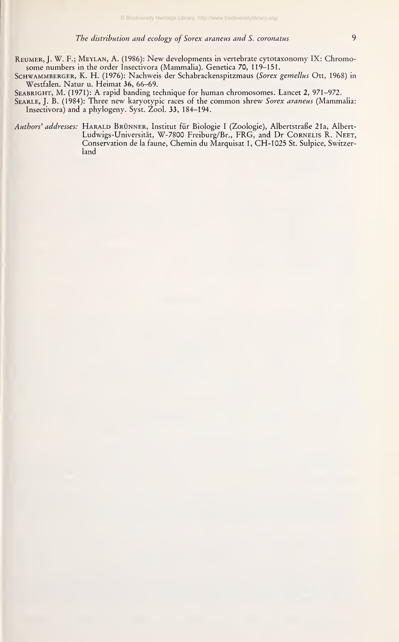Schwammberger, K. H. (1976): Nachweis der Schabrackenspitzmaus {Sorex gemellus Ott, 1968) in Westfalen. Natur u. Heimat 36, 66-69.

SEABRIGHT, M. (1971): A rapid banding technique for human chromosomes. Lancet 2, 971-972. SEARLE, J. B. (1984): Three new karyotypic races of the common shrew Sorex araneus (Mammalia: Insectivora) and a phylogeny. Syst. Zool. 33, 184-194.

Authors' addresses: HARALD BRÜNNER, Institut für Biologie I (Zoologie), Albertstraße 21a, Albert-Ludwigs-Universität, W-7800 Freiburg/Br., FRG, and Dr CORNELIS R. NEET, Conservation de la faune, Chemin du Marquisat 1, CH-1025 St. Sulpice, Switzerland